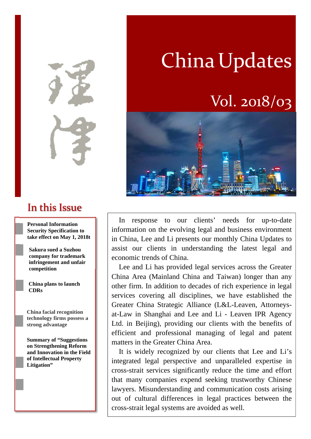In this Issue

**Personal Information Security Specification to take effect on May 1, 2018t** 

**Sakura sued a Suzhou company for trademark infringement and unfair competition** 

**China plans to launch CDRs**

**China facial recognition technology firms possess a strong advantage** 

**Summary of "Suggestions on Strengthening Reform and Innovation in the Field of Intellectual Property Litigation"** 

# **China Updates**

# Vol. 2018/03



In response to our clients' needs for up-to-date information on the evolving legal and business environment in China, Lee and Li presents our monthly China Updates to assist our clients in understanding the latest legal and economic trends of China.

Lee and Li has provided legal services across the Greater China Area (Mainland China and Taiwan) longer than any other firm. In addition to decades of rich experience in legal services covering all disciplines, we have established the Greater China Strategic Alliance (L&L-Leaven, Attorneysat-Law in Shanghai and Lee and Li - Leaven IPR Agency Ltd. in Beijing), providing our clients with the benefits of efficient and professional managing of legal and patent matters in the Greater China Area.

It is widely recognized by our clients that Lee and Li's integrated legal perspective and unparalleled expertise in cross-strait services significantly reduce the time and effort that many companies expend seeking trustworthy Chinese lawyers. Misunderstanding and communication costs arising out of cultural differences in legal practices between the cross-strait legal systems are avoided as well.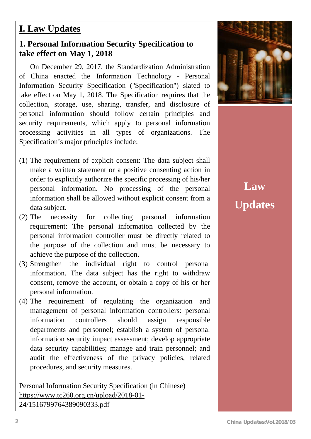### **I. Law Updates**

#### **1. Personal Information Security Specification to take effect on May 1, 2018**

On December 29, 2017, the Standardization Administration of China enacted the Information Technology - Personal Information Security Specification (''Specification'') slated to take effect on May 1, 2018. The Specification requires that the collection, storage, use, sharing, transfer, and disclosure of personal information should follow certain principles and security requirements, which apply to personal information processing activities in all types of organizations. The Specification's major principles include:

- (1) The requirement of explicit consent: The data subject shall make a written statement or a positive consenting action in order to explicitly authorize the specific processing of his/her personal information. No processing of the personal information shall be allowed without explicit consent from a data subject.
- (2) The necessity for collecting personal information requirement: The personal information collected by the personal information controller must be directly related to the purpose of the collection and must be necessary to achieve the purpose of the collection.
- (3) Strengthen the individual right to control personal information. The data subject has the right to withdraw consent, remove the account, or obtain a copy of his or her personal information.
- (4) The requirement of regulating the organization and management of personal information controllers: personal information controllers should assign responsible departments and personnel; establish a system of personal information security impact assessment; develop appropriate data security capabilities; manage and train personnel; and audit the effectiveness of the privacy policies, related procedures, and security measures.

Personal Information Security Specification (in Chinese) https://www.tc260.org.cn/upload/2018-01- 24/1516799764389090333.pdf



# **Law Updates**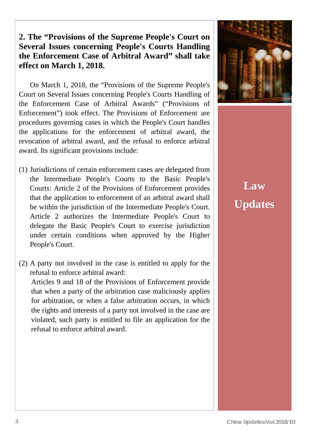### **2. The "Provisions of the Supreme People's Court on Several Issues concerning People's Courts Handling the Enforcement Case of Arbitral Award" shall take effect on March 1, 2018.**

On March 1, 2018, the "Provisions of the Supreme People's Court on Several Issues concerning People's Courts Handling of the Enforcement Case of Arbitral Awards" ("Provisions of Enforcement") took effect. The Provisions of Enforcement are procedures governing cases in which the People's Court handles the applications for the enforcement of arbitral award, the revocation of arbitral award, and the refusal to enforce arbitral award. Its significant provisions include:

- (1) Jurisdictions of certain enforcement cases are delegated from the Intermediate People's Courts to the Basic People's Courts: Article 2 of the Provisions of Enforcement provides that the application to enforcement of an arbitral award shall be within the jurisdiction of the Intermediate People's Court. Article 2 authorizes the Intermediate People's Court to delegate the Basic People's Court to exercise jurisdiction under certain conditions when approved by the Higher People's Court.
- (2) A party not involved in the case is entitled to apply for the refusal to enforce arbitral award:

Articles 9 and 18 of the Provisions of Enforcement provide that when a party of the arbitration case maliciously applies for arbitration, or when a false arbitration occurs, in which the rights and interests of a party not involved in the case are violated, such party is entitled to file an application for the refusal to enforce arbitral award.



**Law Updates**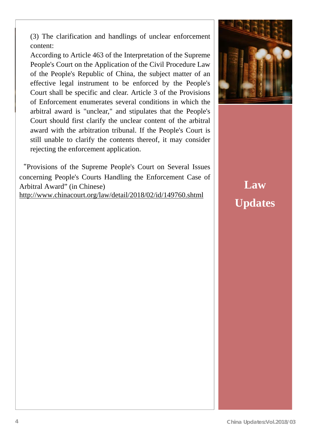(3) The clarification and handlings of unclear enforcement content:

According to Article 463 of the Interpretation of the Supreme People's Court on the Application of the Civil Procedure Law of the People's Republic of China, the subject matter of an effective legal instrument to be enforced by the People's Court shall be specific and clear. Article 3 of the Provisions of Enforcement enumerates several conditions in which the arbitral award is "unclear," and stipulates that the People's Court should first clarify the unclear content of the arbitral award with the arbitration tribunal. If the People's Court is still unable to clarify the contents thereof, it may consider rejecting the enforcement application.

"Provisions of the Supreme People's Court on Several Issues concerning People's Courts Handling the Enforcement Case of Arbitral Award" (in Chinese) http://www.chinacourt.org/law/detail/2018/02/id/149760.shtml



**Law Updates**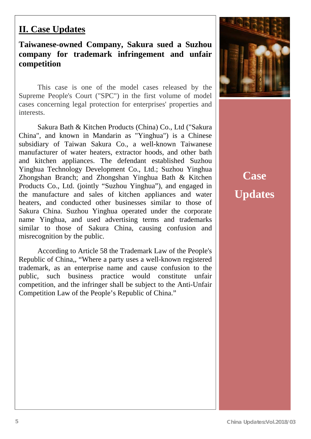### **II. Case Updates**

### **Taiwanese-owned Company, Sakura sued a Suzhou company for trademark infringement and unfair competition**

This case is one of the model cases released by the Supreme People's Court ("SPC") in the first volume of model cases concerning legal protection for enterprises' properties and interests.

Sakura Bath & Kitchen Products (China) Co., Ltd ("Sakura China", and known in Mandarin as "Yinghua") is a Chinese subsidiary of Taiwan Sakura Co., a well-known Taiwanese manufacturer of water heaters, extractor hoods, and other bath and kitchen appliances. The defendant established Suzhou Yinghua Technology Development Co., Ltd.; Suzhou Yinghua Zhongshan Branch; and Zhongshan Yinghua Bath & Kitchen Products Co., Ltd. (jointly "Suzhou Yinghua"), and engaged in the manufacture and sales of kitchen appliances and water heaters, and conducted other businesses similar to those of Sakura China. Suzhou Yinghua operated under the corporate name Yinghua, and used advertising terms and trademarks similar to those of Sakura China, causing confusion and misrecognition by the public.

 According to Article 58 the Trademark Law of the People's Republic of China,, "Where a party uses a well-known registered trademark, as an enterprise name and cause confusion to the public, such business practice would constitute unfair competition, and the infringer shall be subject to the Anti-Unfair Competition Law of the People's Republic of China."



**Case Updates**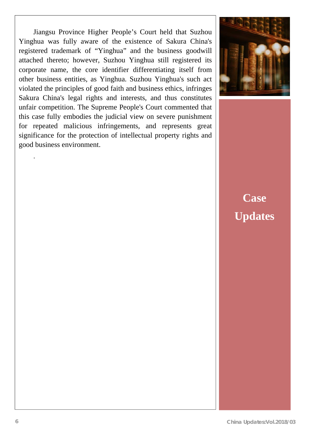Yinghua was fully aware of the existence of Sakura China's Jiangsu Province Higher People's Court held that Suzhou registered trademark of "Yinghua" and the business goodwill attached thereto; however, Suzhou Yinghua still registered its corporate name, the core identifier differentiating itself from other business entities, as Yinghua. Suzhou Yinghua's such act violated the principles of good faith and business ethics, infringes Sakura China's legal rights and interests, and thus constitutes unfair competition. The Supreme People's Court commented that this case fully embodies the judicial view on severe punishment for repeated malicious infringements, and represents great significance for the protection of intellectual property rights and good business environment.



# **Case Updates**

.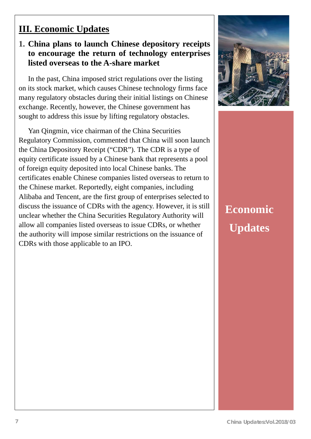### **III. Economic Updates**

### **1. China plans to launch Chinese depository receipts to encourage the return of technology enterprises listed overseas to the A-share market**

In the past, China imposed strict regulations over the listing on its stock market, which causes Chinese technology firms face many regulatory obstacles during their initial listings on Chinese exchange. Recently, however, the Chinese government has sought to address this issue by lifting regulatory obstacles.

Yan Qingmin, vice chairman of the China Securities Regulatory Commission, commented that China will soon launch the China Depository Receipt ("CDR"). The CDR is a type of equity certificate issued by a Chinese bank that represents a pool of foreign equity deposited into local Chinese banks. The certificates enable Chinese companies listed overseas to return to the Chinese market. Reportedly, eight companies, including Alibaba and Tencent, are the first group of enterprises selected to discuss the issuance of CDRs with the agency. However, it is still unclear whether the China Securities Regulatory Authority will allow all companies listed overseas to issue CDRs, or whether the authority will impose similar restrictions on the issuance of CDRs with those applicable to an IPO.



# **Economic Updates**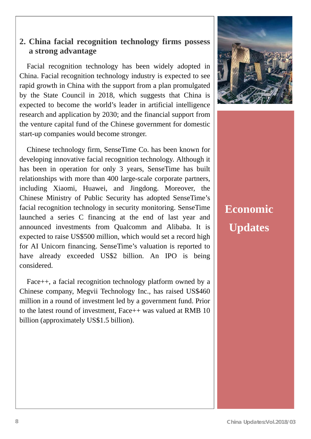#### **2. China facial recognition technology firms possess a strong advantage**

Facial recognition technology has been widely adopted in China. Facial recognition technology industry is expected to see rapid growth in China with the support from a plan promulgated by the State Council in 2018, which suggests that China is expected to become the world's leader in artificial intelligence research and application by 2030; and the financial support from the venture capital fund of the Chinese government for domestic start-up companies would become stronger.

Chinese technology firm, SenseTime Co. has been known for developing innovative facial recognition technology. Although it has been in operation for only 3 years, SenseTime has built relationships with more than 400 large-scale corporate partners, including Xiaomi, Huawei, and Jingdong. Moreover, the Chinese Ministry of Public Security has adopted SenseTime's facial recognition technology in security monitoring. SenseTime launched a series C financing at the end of last year and announced investments from Qualcomm and Alibaba. It is expected to raise US\$500 million, which would set a record high for AI Unicorn financing. SenseTime's valuation is reported to have already exceeded US\$2 billion. An IPO is being considered.

Face++, a facial recognition technology platform owned by a Chinese company, Megvii Technology Inc., has raised US\$460 million in a round of investment led by a government fund. Prior to the latest round of investment, Face++ was valued at RMB 10 billion (approximately US\$1.5 billion).



## **Economic Updates**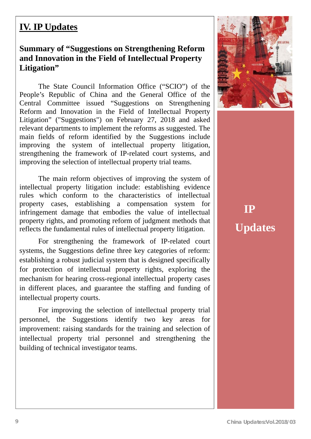### **IV. IP Updates**

#### **Summary of "Suggestions on Strengthening Reform and Innovation in the Field of Intellectual Property Litigation"**

The State Council Information Office ("SCIO") of the People's Republic of China and the General Office of the Central Committee issued "Suggestions on Strengthening Reform and Innovation in the Field of Intellectual Property Litigation" ("Suggestions") on February 27, 2018 and asked relevant departments to implement the reforms as suggested. The main fields of reform identified by the Suggestions include improving the system of intellectual property litigation, strengthening the framework of IP-related court systems, and improving the selection of intellectual property trial teams.

The main reform objectives of improving the system of intellectual property litigation include: establishing evidence rules which conform to the characteristics of intellectual property cases, establishing a compensation system for infringement damage that embodies the value of intellectual property rights, and promoting reform of judgment methods that reflects the fundamental rules of intellectual property litigation.

For strengthening the framework of IP-related court systems, the Suggestions define three key categories of reform: establishing a robust judicial system that is designed specifically for protection of intellectual property rights, exploring the mechanism for hearing cross-regional intellectual property cases in different places, and guarantee the staffing and funding of intellectual property courts.

For improving the selection of intellectual property trial personnel, the Suggestions identify two key areas for improvement: raising standards for the training and selection of intellectual property trial personnel and strengthening the building of technical investigator teams.



# **IP Updates**